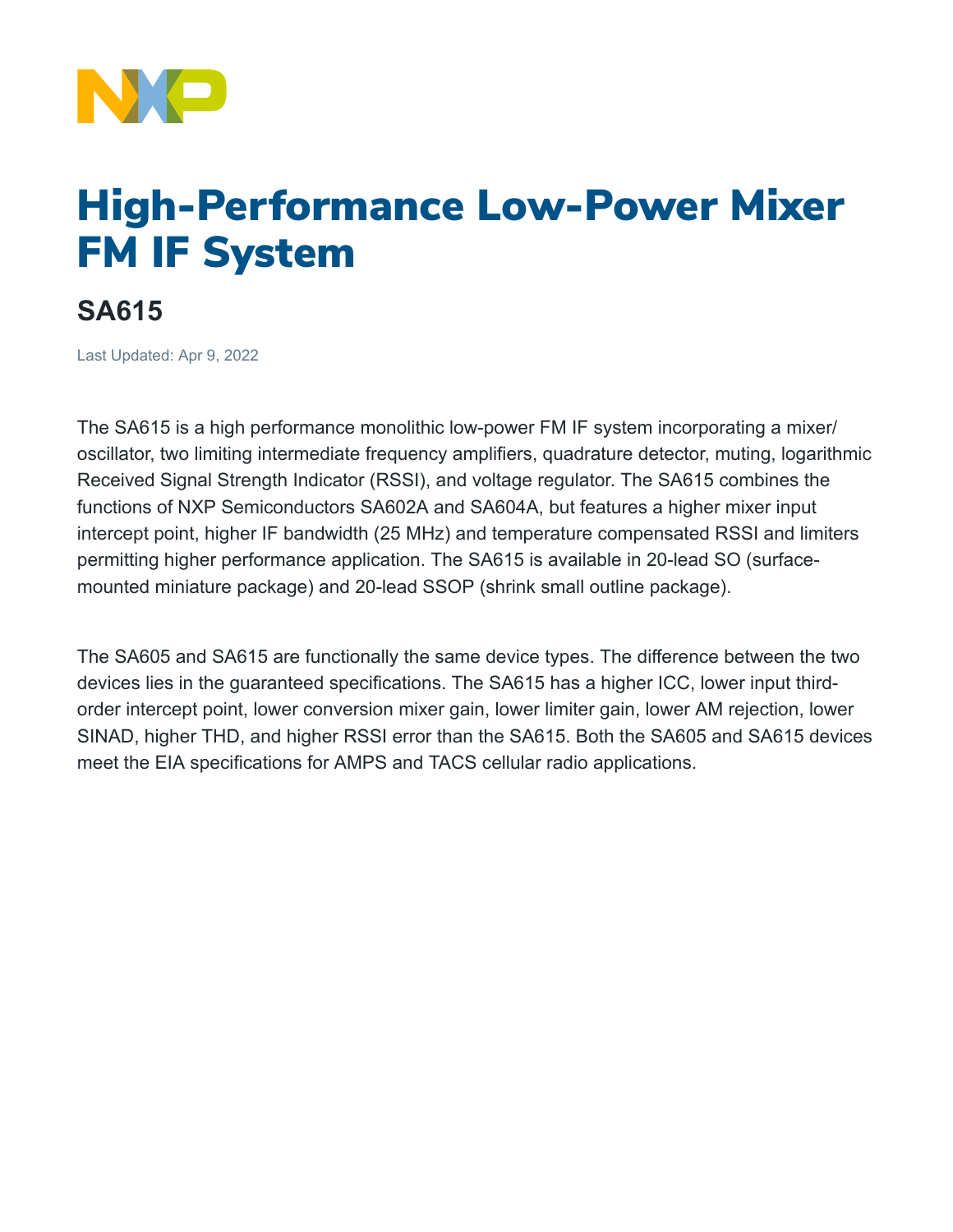

## High-Performance Low-Power Mixer FM IF System

## **SA615**

Last Updated: Apr 9, 2022

The SA615 is a high performance monolithic low-power FM IF system incorporating a mixer/ oscillator, two limiting intermediate frequency amplifiers, quadrature detector, muting, logarithmic Received Signal Strength Indicator (RSSI), and voltage regulator. The SA615 combines the functions of NXP Semiconductors SA602A and SA604A, but features a higher mixer input intercept point, higher IF bandwidth (25 MHz) and temperature compensated RSSI and limiters permitting higher performance application. The SA615 is available in 20-lead SO (surfacemounted miniature package) and 20-lead SSOP (shrink small outline package).

The SA605 and SA615 are functionally the same device types. The difference between the two devices lies in the guaranteed specifications. The SA615 has a higher ICC, lower input thirdorder intercept point, lower conversion mixer gain, lower limiter gain, lower AM rejection, lower SINAD, higher THD, and higher RSSI error than the SA615. Both the SA605 and SA615 devices meet the EIA specifications for AMPS and TACS cellular radio applications.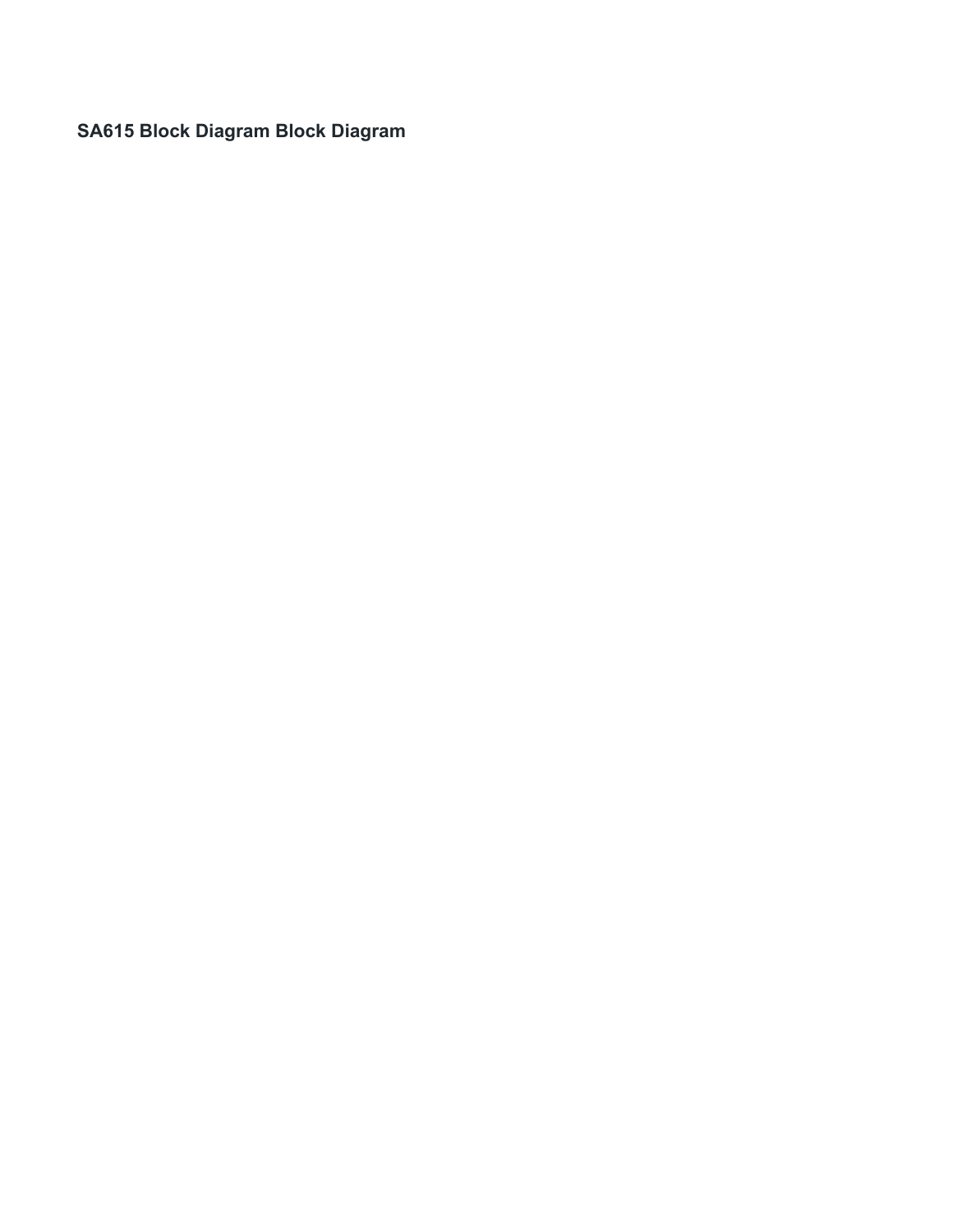**SA615 Block Diagram Block Diagram**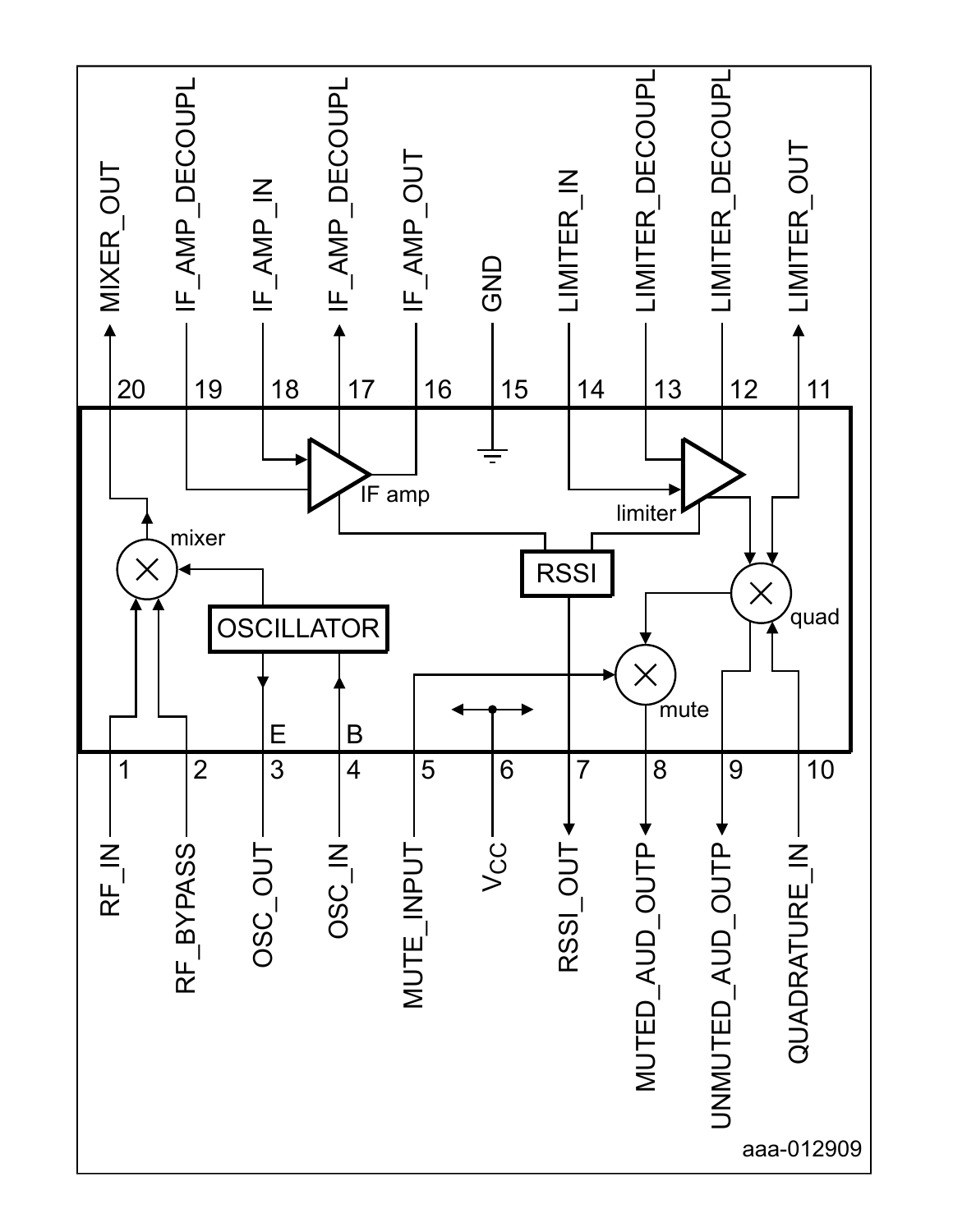